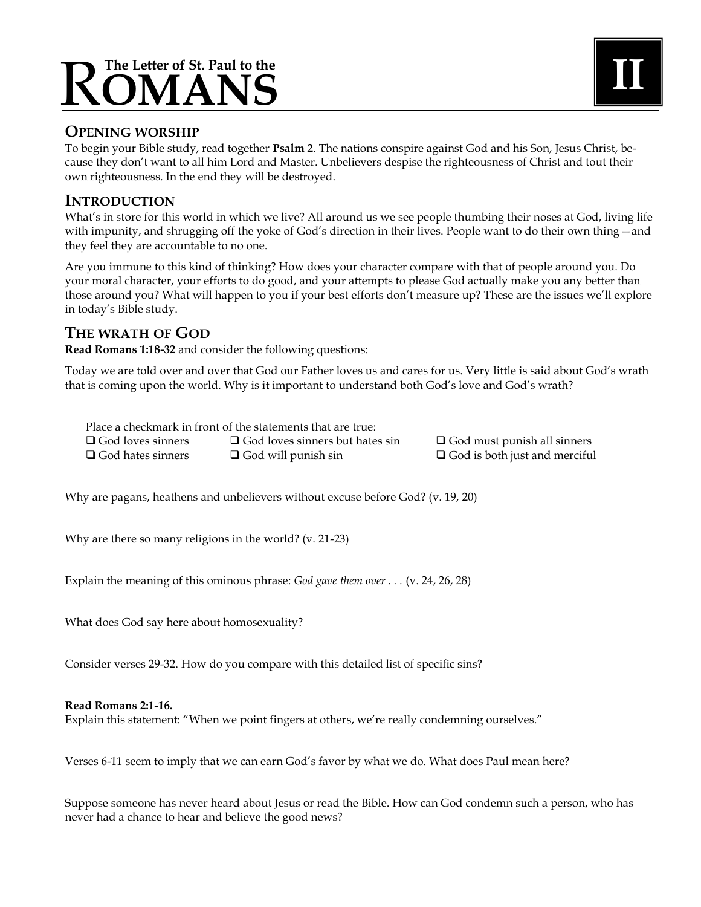# **The Letter of St. Paul to the** R**OMANS II**

# **OPENING WORSHIP**

To begin your Bible study, read together **Psalm 2**. The nations conspire against God and his Son, Jesus Christ, because they don't want to all him Lord and Master. Unbelievers despise the righteousness of Christ and tout their own righteousness. In the end they will be destroyed.

# **INTRODUCTION**

What's in store for this world in which we live? All around us we see people thumbing their noses at God, living life with impunity, and shrugging off the yoke of God's direction in their lives. People want to do their own thing—and they feel they are accountable to no one.

Are you immune to this kind of thinking? How does your character compare with that of people around you. Do your moral character, your efforts to do good, and your attempts to please God actually make you any better than those around you? What will happen to you if your best efforts don't measure up? These are the issues we'll explore in today's Bible study.

# **THE WRATH OF GOD**

**Read Romans 1:18-32** and consider the following questions:

Today we are told over and over that God our Father loves us and cares for us. Very little is said about God's wrath that is coming upon the world. Why is it important to understand both God's love and God's wrath?

Place a checkmark in front of the statements that are true:  $\Box$  God loves sinners  $\Box$  God loves sinners but hates sin  $\Box$  God must punish all sinners  $\square$  God hates sinners  $\square$  God will punish sin  $\square$  God is both just and merciful

Why are pagans, heathens and unbelievers without excuse before God? (v. 19, 20)

Why are there so many religions in the world? (v. 21-23)

Explain the meaning of this ominous phrase: *God gave them over . . .* (v. 24, 26, 28)

What does God say here about homosexuality?

Consider verses 29-32. How do you compare with this detailed list of specific sins?

#### **Read Romans 2:1-16.**

Explain this statement: "When we point fingers at others, we're really condemning ourselves."

Verses 6-11 seem to imply that we can earn God's favor by what we do. What does Paul mean here?

Suppose someone has never heard about Jesus or read the Bible. How can God condemn such a person, who has never had a chance to hear and believe the good news?